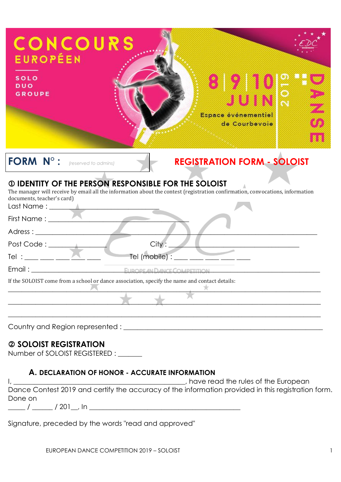| CONCOURS<br><b>EUROPÉEN</b><br><b>SOLO</b><br><b>DUO</b><br><b>GROUPE</b> | <b>UIN</b><br>Espace événementiel<br>de Courbevoie                                                                                                                                            |
|---------------------------------------------------------------------------|-----------------------------------------------------------------------------------------------------------------------------------------------------------------------------------------------|
| <b>FORM N°:</b>                                                           | <b>REGISTRATION FORM - SOLOIST</b><br>(reserved to admins)                                                                                                                                    |
| documents, teacher's card)                                                | <b>10 IDENTITY OF THE PERSON RESPONSIBLE FOR THE SOLOIST</b><br>The manager will receive by email all the information about the contest (registration confirmation, convocations, information |
| First Name :                                                              |                                                                                                                                                                                               |
|                                                                           |                                                                                                                                                                                               |
|                                                                           | City:                                                                                                                                                                                         |
|                                                                           | Tel (mobile) : ___ ___ ___ ___ __                                                                                                                                                             |
|                                                                           | EUROPE AN DANCE COMPETITION                                                                                                                                                                   |
|                                                                           | If the SOLOIST come from a school or dance association, specify the name and contact details:                                                                                                 |
|                                                                           |                                                                                                                                                                                               |
|                                                                           |                                                                                                                                                                                               |
| 2 SOLOIST REGISTRATION                                                    |                                                                                                                                                                                               |

Number of SOLOIST REGISTERED : \_\_\_\_\_\_

### **A. DECLARATION OF HONOR - ACCURATE INFORMATION**

I, \_\_\_\_\_\_\_\_\_\_\_\_\_\_\_\_\_\_\_\_\_\_\_\_\_\_\_\_\_\_\_\_\_\_\_\_\_\_\_\_\_\_\_\_\_\_\_\_\_\_, have read the rules of the European Dance Contest 2019 and certify the accuracy of the information provided in this registration form. Done on  $\frac{1}{2}$  /  $\frac{1}{201}$  /  $201$   $\frac{1}{201}$  in  $\frac{1}{201}$ 

Signature, preceded by the words "read and approved"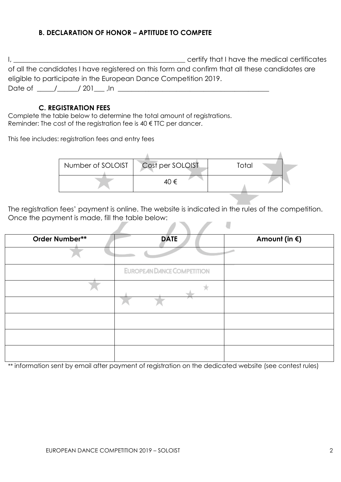#### **B. DECLARATION OF HONOR – APTITUDE TO COMPETE**

| certify that I have the medical certificates                                                   |
|------------------------------------------------------------------------------------------------|
| of all the candidates I have registered on this form and confirm that all these candidates are |
| eligible to participate in the European Dance Competition 2019.                                |
| Date of<br>' 201                                                                               |

#### **C. REGISTRATION FEES**

Complete the table below to determine the total amount of registrations. Reminder: The cost of the registration fee is 40 € TTC per dancer.

This fee includes: registration fees and entry fees

| Number of SOLOIST | Cost per SOLOIST | Total |  |
|-------------------|------------------|-------|--|
|                   | 40 €             |       |  |

The registration fees' payment is online. The website is indicated in the rules of the competition. Once the payment is made, fill the table below:

| Order Number** | <b>DATE</b>                       | Amount (in $\xi$ ) |
|----------------|-----------------------------------|--------------------|
|                |                                   |                    |
|                | <b>EUROPEAN DANCE COMPETITION</b> |                    |
|                |                                   |                    |
|                |                                   |                    |
|                |                                   |                    |
|                |                                   |                    |
|                |                                   |                    |

\*\* information sent by email after payment of registration on the dedicated website (see contest rules)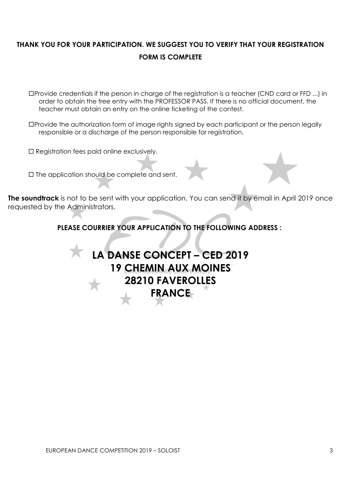## **THANK YOU FOR YOUR PARTICIPATION. WE SUGGEST YOU TO VERIFY THAT YOUR REGISTRATION FORM IS COMPLETE**

Provide credentials if the person in charge of the registration is a teacher (CND card or FFD ...) in order to obtain the free entry with the PROFESSOR PASS. If there is no official document, the teacher must obtain an entry on the online ticketing of the contest.

Provide the authorization form of image rights signed by each participant or the person legally responsible or a discharge of the person responsible for registration.

□ Registration fees paid online exclusively.

 $\square$  The application should be complete and sent.

**The soundtrack** is not to be sent with your application. You can send it by email in April 2019 once requested by the Administrators.

**PLEASE COURRIER YOUR APPLICATION TO THE FOLLOWING ADDRESS :**

# **LA DANSE CONCEPT – CED 2019 19 CHEMIN AUX MOINES 28210 FAVEROLLES FRANCE**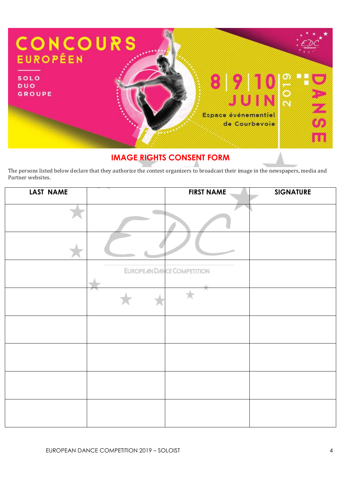

## **IMAGE RIGHTS CONSENT FORM**

The persons listed below declare that they authorize the contest organizers to broadcast their image in the newspapers, media and Partner websites.

| LAST NAME | <b>FIRST NAME</b>                 | <b>SIGNATURE</b> |
|-----------|-----------------------------------|------------------|
|           |                                   |                  |
|           |                                   |                  |
|           | <b>EUROPEAN DANCE COMPETITION</b> |                  |
|           |                                   |                  |
|           | n                                 |                  |
|           |                                   |                  |
|           |                                   |                  |
|           |                                   |                  |
|           |                                   |                  |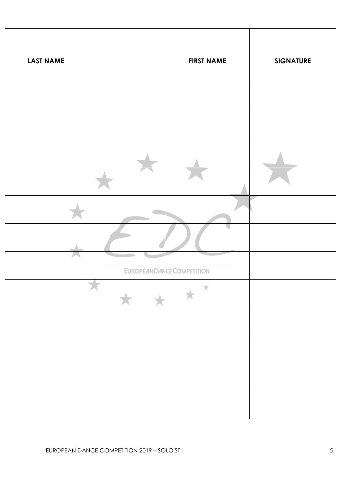| <b>LAST NAME</b> | <b>FIRST NAME</b>                 | <b>SIGNATURE</b> |
|------------------|-----------------------------------|------------------|
|                  |                                   |                  |
|                  |                                   |                  |
|                  |                                   |                  |
|                  |                                   |                  |
|                  |                                   |                  |
|                  |                                   |                  |
|                  | <b>EUROPEAN DANCE COMPETITION</b> |                  |
|                  | $\mathcal{H}$                     |                  |
|                  |                                   |                  |
|                  |                                   |                  |
|                  |                                   |                  |
|                  |                                   |                  |